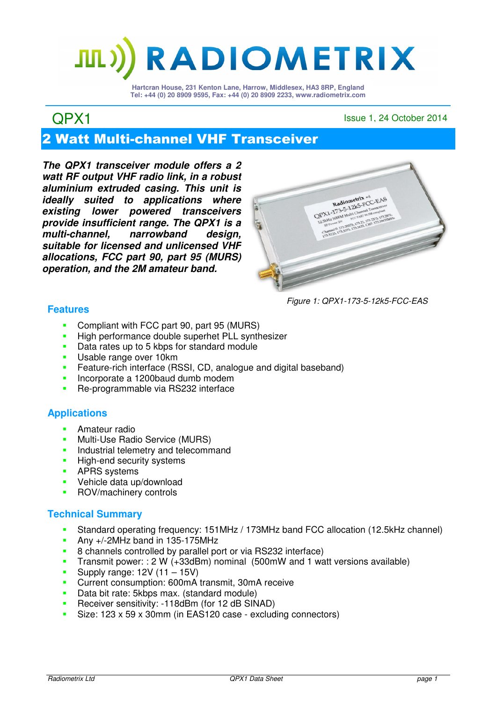# **RADIOMETRIX**

**Hartcran House, 231 Kenton Lane, Harrow, Middlesex, HA3 8RP, England Tel: +44 (0) 20 8909 9595, Fax: +44 (0) 20 8909 2233, www.radiometrix.com**

## QPX1 Issue 1, 24 October 2014

## 2 Watt Multi-channel VHF Transceiver

**The QPX1 transceiver module offers a 2 watt RF output VHF radio link, in a robust aluminium extruded casing. This unit is ideally suited to applications where existing lower powered transceivers provide insufficient range. The QPX1 is a multi-channel, narrowband design, suitable for licensed and unlicensed VHF allocations, FCC part 90, part 95 (MURS) operation, and the 2M amateur band.** 



Figure 1: QPX1-173-5-12k5-FCC-EAS

## **Features**

- Compliant with FCC part 90, part 95 (MURS)
- High performance double superhet PLL synthesizer<br>Data rates un to 5 kbps for standard module
- Data rates up to 5 kbps for standard module
- **Usable range over 10km**
- **Feature-rich interface (RSSI, CD, analogue and digital baseband)**
- **Incorporate a 1200baud dumb modem**
- **Re-programmable via RS232 interface**

## **Applications**

- **Amateur radio**
- **Multi-Use Radio Service (MURS)**
- **Industrial telemetry and telecommand**
- **High-end security systems**
- **APRS** systems
- Vehicle data up/download
- **ROV/machinery controls**

## **Technical Summary**

- Standard operating frequency: 151MHz / 173MHz band FCC allocation (12.5kHz channel)
- Any +/-2MHz band in 135-175MHz
- 8 channels controlled by parallel port or via RS232 interface)
- Transmit power: : 2 W (+33dBm) nominal (500mW and 1 watt versions available)
- Supply range:  $12V (11 15V)$
- Current consumption: 600mA transmit, 30mA receive
- Data bit rate: 5kbps max. (standard module)
- **Receiver sensitivity: -118dBm (for 12 dB SINAD)**
- Size: 123 x 59 x 30mm (in EAS120 case excluding connectors)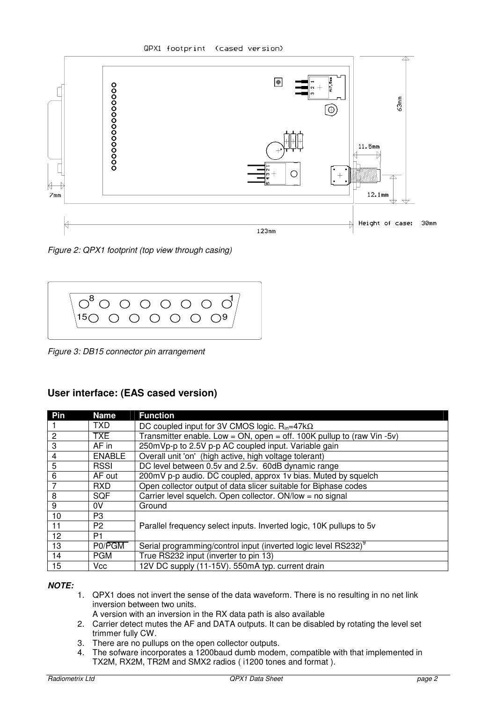QPX1 footprint (cased version)



Figure 2: QPX1 footprint (top view through casing)



Figure 3: DB15 connector pin arrangement

## **User interface: (EAS cased version)**

| Pin            | <b>Name</b>    | <b>Function</b>                                                            |  |
|----------------|----------------|----------------------------------------------------------------------------|--|
|                | TXD.           | DC coupled input for 3V CMOS logic. $R_{in} = 47k\Omega$                   |  |
| $\overline{2}$ | <b>TXE</b>     | Transmitter enable. Low = $ON$ , open = off. 100K pullup to (raw Vin -5v)  |  |
| 3              | AF in          | 250mVp-p to 2.5V p-p AC coupled input. Variable gain                       |  |
| 4              | <b>ENABLE</b>  | Overall unit 'on' (high active, high voltage tolerant)                     |  |
| 5              | <b>RSSI</b>    | DC level between 0.5v and 2.5v. 60dB dynamic range                         |  |
| 6              | AF out         | 200mV p-p audio. DC coupled, approx 1v bias. Muted by squelch              |  |
|                | <b>RXD</b>     | Open collector output of data slicer suitable for Biphase codes            |  |
| 8              | <b>SQF</b>     | Carrier level squelch. Open collector. ON/low = no signal                  |  |
| 9              | 0V             | Ground                                                                     |  |
| 10             | P3             |                                                                            |  |
| 11             | P <sub>2</sub> | Parallel frequency select inputs. Inverted logic, 10K pullups to 5v        |  |
| 12             | P <sub>1</sub> |                                                                            |  |
| 13             | P0/PGM         | Serial programming/control input (inverted logic level RS232) <sup>9</sup> |  |
| 14             | <b>PGM</b>     | True RS232 input (inverter to pin 13)                                      |  |
| 15             | Vcc            | 12V DC supply (11-15V). 550mA typ. current drain                           |  |

#### **NOTE:**

- 1. QPX1 does not invert the sense of the data waveform. There is no resulting in no net link inversion between two units.
	- A version with an inversion in the RX data path is also available
- 2. Carrier detect mutes the AF and DATA outputs. It can be disabled by rotating the level set trimmer fully CW.
- 3. There are no pullups on the open collector outputs.
- 4. The sofware incorporates a 1200baud dumb modem, compatible with that implemented in TX2M, RX2M, TR2M and SMX2 radios ( i1200 tones and format ).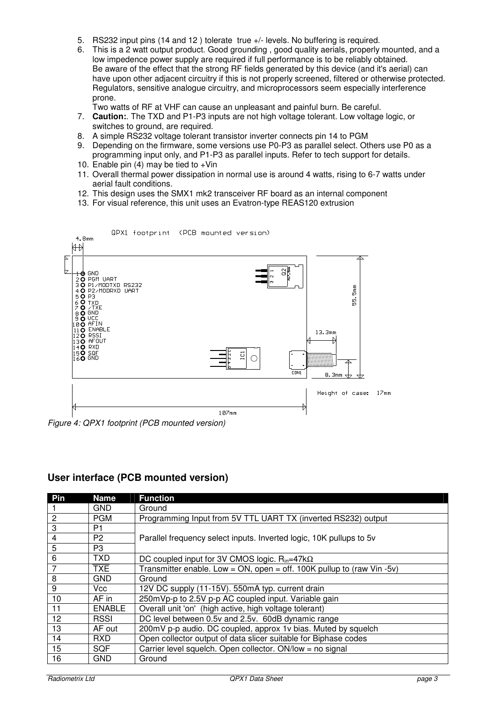- 5. RS232 input pins (14 and 12 ) tolerate true +/- levels. No buffering is required.
- 6. This is a 2 watt output product. Good grounding , good quality aerials, properly mounted, and a low impedence power supply are required if full performance is to be reliably obtained. Be aware of the effect that the strong RF fields generated by this device (and it's aerial) can have upon other adjacent circuitry if this is not properly screened, filtered or otherwise protected. Regulators, sensitive analogue circuitry, and microprocessors seem especially interference prone.

Two watts of RF at VHF can cause an unpleasant and painful burn. Be careful.

- 7. **Caution:**. The TXD and P1-P3 inputs are not high voltage tolerant. Low voltage logic, or switches to ground, are required.
- 8. A simple RS232 voltage tolerant transistor inverter connects pin 14 to PGM
- 9. Depending on the firmware, some versions use P0-P3 as parallel select. Others use P0 as a programming input only, and P1-P3 as parallel inputs. Refer to tech support for details.
- 10. Enable pin  $(4)$  may be tied to +Vin
- 11. Overall thermal power dissipation in normal use is around 4 watts, rising to 6-7 watts under aerial fault conditions.
- 12. This design uses the SMX1 mk2 transceiver RF board as an internal component
- 13. For visual reference, this unit uses an Evatron-type REAS120 extrusion



Figure 4: QPX1 footprint (PCB mounted version)

## **User interface (PCB mounted version)**

| Pin            | <b>Name</b>    | <b>Function</b>                                                           |  |
|----------------|----------------|---------------------------------------------------------------------------|--|
|                | <b>GND</b>     | Ground                                                                    |  |
| $\overline{c}$ | <b>PGM</b>     | Programming Input from 5V TTL UART TX (inverted RS232) output             |  |
| 3              | P <sub>1</sub> |                                                                           |  |
| 4              | P <sub>2</sub> | Parallel frequency select inputs. Inverted logic, 10K pullups to 5v       |  |
| 5              | P3             |                                                                           |  |
| 6              | <b>TXD</b>     | DC coupled input for 3V CMOS logic. $R_{in} = 47k\Omega$                  |  |
| 7              | <b>TXE</b>     | Transmitter enable. Low = $ON$ , open = off. 100K pullup to (raw Vin -5v) |  |
| 8              | <b>GND</b>     | Ground                                                                    |  |
| 9              | Vcc            | 12V DC supply (11-15V). 550mA typ. current drain                          |  |
| 10             | AF in          | 250mVp-p to 2.5V p-p AC coupled input. Variable gain                      |  |
| 11             | <b>ENABLE</b>  | Overall unit 'on' (high active, high voltage tolerant)                    |  |
| 12             | <b>RSSI</b>    | DC level between 0.5v and 2.5v. 60dB dynamic range                        |  |
| 13             | AF out         | 200mV p-p audio. DC coupled, approx 1v bias. Muted by squelch             |  |
| 14             | <b>RXD</b>     | Open collector output of data slicer suitable for Biphase codes           |  |
| 15             | SQF            | Carrier level squelch. Open collector. ON/low = no signal                 |  |
| 16             | GND            | Ground                                                                    |  |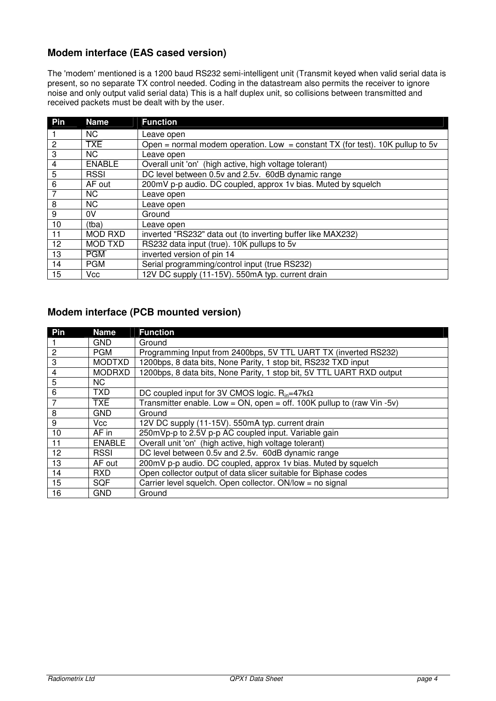## **Modem interface (EAS cased version)**

The 'modem' mentioned is a 1200 baud RS232 semi-intelligent unit (Transmit keyed when valid serial data is present, so no separate TX control needed. Coding in the datastream also permits the receiver to ignore noise and only output valid serial data) This is a half duplex unit, so collisions between transmitted and received packets must be dealt with by the user.

| Pin             | <b>Name</b>    | <b>Function</b>                                                                  |
|-----------------|----------------|----------------------------------------------------------------------------------|
|                 | <b>NC</b>      | Leave open                                                                       |
| $\overline{2}$  | <b>TXE</b>     | Open = normal modem operation. Low = constant TX (for test). 10K pullup to 5 $v$ |
| 3               | <b>NC</b>      | Leave open                                                                       |
| 4               | <b>ENABLE</b>  | Overall unit 'on' (high active, high voltage tolerant)                           |
| 5               | <b>RSSI</b>    | DC level between 0.5v and 2.5v. 60dB dynamic range                               |
| 6               | AF out         | 200mV p-p audio. DC coupled, approx 1v bias. Muted by squelch                    |
|                 | <b>NC</b>      | Leave open                                                                       |
| 8               | <b>NC</b>      | Leave open                                                                       |
| 9               | 0V             | Ground                                                                           |
| 10              | (tba)          | Leave open                                                                       |
| 11              | <b>MOD RXD</b> | inverted "RS232" data out (to inverting buffer like MAX232)                      |
| 12 <sup>2</sup> | <b>MOD TXD</b> | RS232 data input (true). 10K pullups to 5v                                       |
| 13              | <b>PGM</b>     | inverted version of pin 14                                                       |
| 14              | <b>PGM</b>     | Serial programming/control input (true RS232)                                    |
| 15              | Vcc            | 12V DC supply (11-15V). 550mA typ. current drain                                 |

## **Modem interface (PCB mounted version)**

| Pin            | <b>Name</b>   | <b>Function</b>                                                           |
|----------------|---------------|---------------------------------------------------------------------------|
|                | <b>GND</b>    | Ground                                                                    |
| $\overline{2}$ | <b>PGM</b>    | Programming Input from 2400bps, 5V TTL UART TX (inverted RS232)           |
| 3              | <b>MODTXD</b> | 1200bps, 8 data bits, None Parity, 1 stop bit, RS232 TXD input            |
| 4              | <b>MODRXD</b> | 1200bps, 8 data bits, None Parity, 1 stop bit, 5V TTL UART RXD output     |
| 5              | NC.           |                                                                           |
| 6              | <b>TXD</b>    | DC coupled input for 3V CMOS logic. $R_{in} = 47k\Omega$                  |
| 7              | TXE           | Transmitter enable. Low = $ON$ , open = off. 100K pullup to (raw Vin -5v) |
| 8              | <b>GND</b>    | Ground                                                                    |
| 9              | Vcc.          | 12V DC supply (11-15V). 550mA typ. current drain                          |
| 10             | AF in         | 250mVp-p to 2.5V p-p AC coupled input. Variable gain                      |
| 11             | <b>ENABLE</b> | Overall unit 'on' (high active, high voltage tolerant)                    |
| 12             | <b>RSSI</b>   | DC level between 0.5v and 2.5v. 60dB dynamic range                        |
| 13             | AF out        | 200mV p-p audio. DC coupled, approx 1v bias. Muted by squelch             |
| 14             | <b>RXD</b>    | Open collector output of data slicer suitable for Biphase codes           |
| 15             | SQF           | Carrier level squelch. Open collector. ON/low = no signal                 |
| 16             | <b>GND</b>    | Ground                                                                    |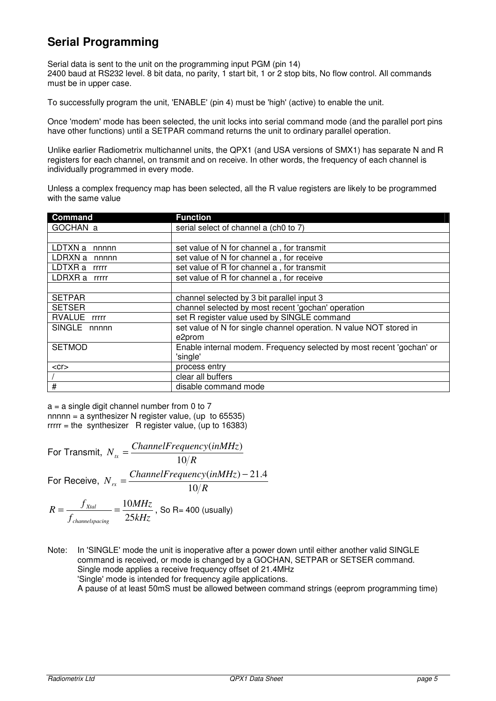## **Serial Programming**

Serial data is sent to the unit on the programming input PGM (pin 14) 2400 baud at RS232 level. 8 bit data, no parity, 1 start bit, 1 or 2 stop bits, No flow control. All commands must be in upper case.

To successfully program the unit, 'ENABLE' (pin 4) must be 'high' (active) to enable the unit.

Once 'modem' mode has been selected, the unit locks into serial command mode (and the parallel port pins have other functions) until a SETPAR command returns the unit to ordinary parallel operation.

Unlike earlier Radiometrix multichannel units, the QPX1 (and USA versions of SMX1) has separate N and R registers for each channel, on transmit and on receive. In other words, the frequency of each channel is individually programmed in every mode.

Unless a complex frequency map has been selected, all the R value registers are likely to be programmed with the same value

| <b>Command</b>   | <b>Function</b>                                                      |  |
|------------------|----------------------------------------------------------------------|--|
| GOCHAN a         | serial select of channel a (ch0 to 7)                                |  |
|                  |                                                                      |  |
| LDTXN a<br>nnnnn | set value of N for channel a, for transmit                           |  |
| LDRXN a nnnnn    | set value of N for channel a, for receive                            |  |
| LDTXR a rrrrr    | set value of R for channel a, for transmit                           |  |
| LDRXR a rrrrr    | set value of R for channel a, for receive                            |  |
|                  |                                                                      |  |
| <b>SETPAR</b>    | channel selected by 3 bit parallel input 3                           |  |
| <b>SETSER</b>    | channel selected by most recent 'gochan' operation                   |  |
| RVALUE rrrrr     | set R register value used by SINGLE command                          |  |
| SINGLE nnnnn     | set value of N for single channel operation. N value NOT stored in   |  |
|                  | e2prom                                                               |  |
| <b>SETMOD</b>    | Enable internal modem. Frequency selected by most recent 'gochan' or |  |
|                  | 'single'                                                             |  |
| $<$ Cr $>$       | process entry                                                        |  |
|                  | clear all buffers                                                    |  |
| $\#$             | disable command mode                                                 |  |

 $a = a$  single digit channel number from 0 to 7 nnnnn = a synthesizer N register value, (up to  $65535$ )  $rrrr =$  the synthesizer R register value, (up to 16383)

For Transmit, 
$$
N_{tx} = \frac{ChannelFrequency(inMHz)}{10/R}
$$
  
For Receiver,  $N_{rx} = \frac{ChannelFrequency(inMHz) - 21.4}{10/R}$   
 $R = \frac{f_{Xtal}}{f_{channels\{pacing\}}}$  =  $\frac{10MHz}{25kHz}$ , So R= 400 (usually)

Note: In 'SINGLE' mode the unit is inoperative after a power down until either another valid SINGLE command is received, or mode is changed by a GOCHAN, SETPAR or SETSER command. Single mode applies a receive frequency offset of 21.4MHz 'Single' mode is intended for frequency agile applications. A pause of at least 50mS must be allowed between command strings (eeprom programming time)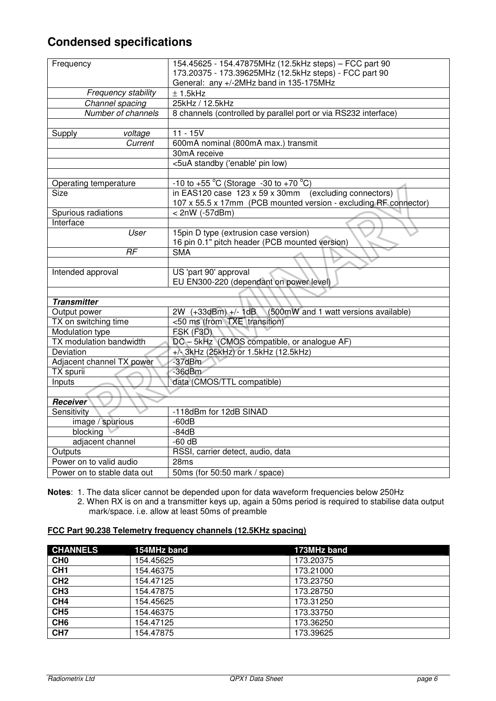## **Condensed specifications**

| Frequency                   | 154.45625 - 154.47875MHz (12.5kHz steps) - FCC part 90                                            |  |  |
|-----------------------------|---------------------------------------------------------------------------------------------------|--|--|
|                             | 173.20375 - 173.39625MHz (12.5kHz steps) - FCC part 90<br>General: any +/-2MHz band in 135-175MHz |  |  |
| Frequency stability         | $± 1.5$ kHz                                                                                       |  |  |
| Channel spacing             | 25kHz / 12.5kHz                                                                                   |  |  |
| Number of channels          | 8 channels (controlled by parallel port or via RS232 interface)                                   |  |  |
|                             |                                                                                                   |  |  |
| Supply<br>voltage           | $11 - 15V$                                                                                        |  |  |
| Current                     | 600mA nominal (800mA max.) transmit                                                               |  |  |
|                             | 30mA receive                                                                                      |  |  |
|                             | <5uA standby ('enable' pin low)                                                                   |  |  |
|                             |                                                                                                   |  |  |
| Operating temperature       | $-10$ to $+55$ °C (Storage $-30$ to $+70$ °C)                                                     |  |  |
| Size                        | in EAS120 case $123 \times 59 \times 30$ mm (excluding connectors)                                |  |  |
|                             | 107 x 55.5 x 17mm (PCB mounted version - excluding RF connector)                                  |  |  |
| Spurious radiations         | $< 2nW$ (-57dBm)                                                                                  |  |  |
| Interface                   |                                                                                                   |  |  |
| User                        | 15pin D type (extrusion case version)                                                             |  |  |
|                             | 16 pin 0.1" pitch header (PCB mounted version)                                                    |  |  |
| RF                          | <b>SMA</b>                                                                                        |  |  |
|                             |                                                                                                   |  |  |
| Intended approval           | US 'part 90' approval                                                                             |  |  |
|                             | EU EN300-220 (dependant on power level)                                                           |  |  |
|                             |                                                                                                   |  |  |
| <b>Transmitter</b>          |                                                                                                   |  |  |
| Output power                | 2W (+33dBm) +/- 1dB<br>(500mW and 1 watt versions available)                                      |  |  |
| TX on switching time        | <50 ms (from TXE transition)                                                                      |  |  |
| Modulation type             | FSK (F3D)                                                                                         |  |  |
| TX modulation bandwidth     | DC - 5kHz (CMOS compatible, or analogue AF)                                                       |  |  |
| Deviation                   | +/- 3kHz (25kHz) or 1.5kHz (12.5kHz)                                                              |  |  |
| Adjacent channel TX power   | $-37dBm$                                                                                          |  |  |
| TX spurii                   | $-36$ d $Bm$                                                                                      |  |  |
| Inputs                      | data (CMOS/TTL compatible)                                                                        |  |  |
|                             |                                                                                                   |  |  |
| <b>Receiver</b>             |                                                                                                   |  |  |
| Sensitivity                 | -118dBm for 12dB SINAD                                                                            |  |  |
| image / spurious            | $-60dB$                                                                                           |  |  |
| blocking                    | $-84dB$                                                                                           |  |  |
| adjacent channel            | $-60$ dB                                                                                          |  |  |
| Outputs                     | RSSI, carrier detect, audio, data                                                                 |  |  |
| Power on to valid audio     | 28ms                                                                                              |  |  |
| Power on to stable data out | 50ms (for 50:50 mark / space)                                                                     |  |  |

**Notes**: 1. The data slicer cannot be depended upon for data waveform frequencies below 250Hz

2. When RX is on and a transmitter keys up, again a 50ms period is required to stabilise data output mark/space. i.e. allow at least 50ms of preamble

#### **FCC Part 90.238 Telemetry frequency channels (12.5KHz spacing)**

| <b>CHANNELS</b> | 154MHz band | 173MHz band |
|-----------------|-------------|-------------|
| CH <sub>0</sub> | 154.45625   | 173.20375   |
| CH <sub>1</sub> | 154.46375   | 173.21000   |
| CH2             | 154.47125   | 173.23750   |
| CH <sub>3</sub> | 154.47875   | 173.28750   |
| CH <sub>4</sub> | 154.45625   | 173.31250   |
| CH <sub>5</sub> | 154.46375   | 173.33750   |
| CH <sub>6</sub> | 154.47125   | 173.36250   |
| CH <sub>7</sub> | 154.47875   | 173.39625   |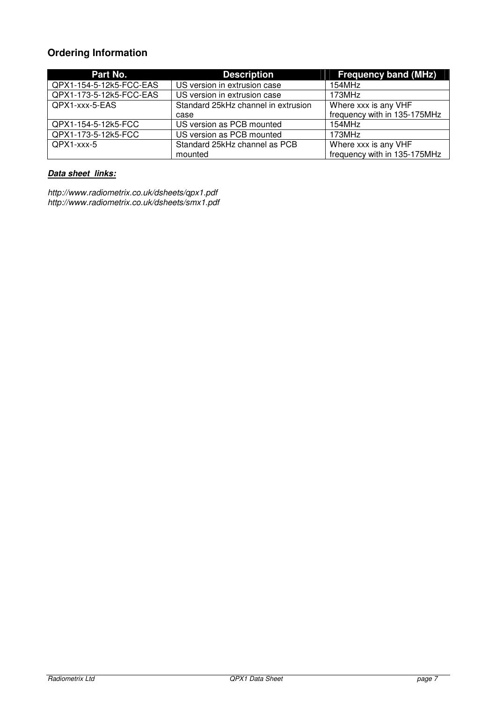## **Ordering Information**

| Part No.                | <b>Description</b>                  | <b>Frequency band (MHz)</b>  |
|-------------------------|-------------------------------------|------------------------------|
| QPX1-154-5-12k5-FCC-EAS | US version in extrusion case        | 154MHz                       |
| QPX1-173-5-12k5-FCC-EAS | US version in extrusion case        | 173MHz                       |
| QPX1-xxx-5-EAS          | Standard 25kHz channel in extrusion | Where xxx is any VHF         |
|                         | case                                | frequency with in 135-175MHz |
| QPX1-154-5-12k5-FCC     | US version as PCB mounted           | 154MHz                       |
| QPX1-173-5-12k5-FCC     | US version as PCB mounted           | 173MHz                       |
| QPX1-xxx-5              | Standard 25kHz channel as PCB       | Where xxx is any VHF         |
|                         | mounted                             | frequency with in 135-175MHz |

## **Data sheet links:**

http://www.radiometrix.co.uk/dsheets/qpx1.pdf http://www.radiometrix.co.uk/dsheets/smx1.pdf